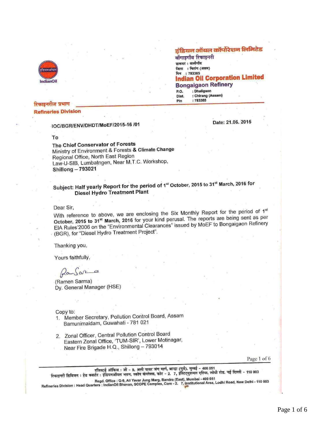

#### रिकाडनरीज प्रभाग **Refineries Division**

### IOC/BGR/ENV/DHDT/MoEF/2015-16 /01

#### To

The Chief Conservator of Forests Ministry of Environment & Forests & Climate Change Regional Office, North East Region Law-U-SIB, Lumbatngen, Near M.T.C. Workshop, **Shillong-793021** 

# Subject: Half yearly Report for the period of 1st October, 2015 to 31st March, 2016 for **Diesel Hydro Treatment Plant**

#### Dear Sir,

With reference to above, we are enclosing the Six Monthly Report for the period of 1st October, 2015 to 31<sup>st</sup> March, 2016 for your kind perusal. The reports are being sent as per EIA Rules'2006 on the "Environmental Clearances" issued by MoEF to Bongaigaon Refinery (BGR), for "Diesel Hydro Treatment Project".

Thanking you,

Yours faithfully,

frams ar

(Ramen Sarma) Dy. General Manager (HSE)

Copy to:

- 1. Member Secretary, Pollution Control Board, Assam Bamunimaidam, Guwahati - 781 021
- 2. Zonal Officer, Central Pollution Control Board Eastern Zonal Office, 'TUM-SIR', Lower Motinagar, Near Fire Brigade H.Q., Shillong - 793014

Page 1 of 6

रजिस्टर्ड ऑफिस : जी - 9, अली यावर जंग मार्ग, बान्द्रा (पूर्व), मुम्बई - 400 051<br>रिफाइनरी डिविजन : हेड क्वार्टर : इंडियनऑयल भवन, स्कोप कंप्लेक्स, कोर - 2. 7, इंस्टिट्युशनल एरिया, लोधी रोड, नई दिल्ली - 110 003

Regd. Office : G-9, Ali Yavar Jung Marg, Bandra (East), Mumbai - 400 051<br>Refineries Division : Head Quarters : IndianOil Bhavan, SCOPE Complex, Core - 2. 7, Institutional Area, Lodhi Road, New Delhi - 110 003

## Date: 21.06. 2015

इंडियन ऑयल कॉर्पोरेशन लिमिटेड

**Indian Oil Corporation Limited** 

बोंगाइगाँव रिफाइनरी डाकघर : धालीगाँव जिला: चिरांग (असम) .<br>पिन : 783385

P.O. Dist.

Pin

**Bongaigaon Refinery** : Dhaligaon

: Chirang (Assam) : 783385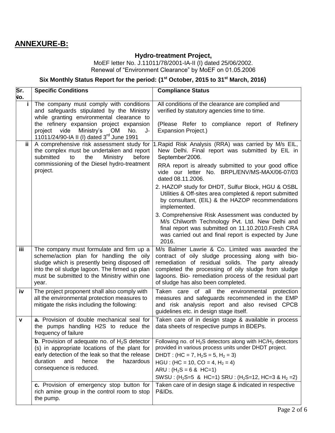# **ANNEXURE-B:**

# **Hydro-treatment Project,**

MoEF letter No. J.11011/78/2001-IA-II (I) dated 25/06/2002. Renewal of "Environment Clearance" by MoEF on 01.05.2006

## **Six Monthly Status Report for the period: (1 st October, 2015 to 31 st March, 2016)**

| Sr.<br>No. | <b>Specific Conditions</b>                                                                                                                                                                                                                      | <b>Compliance Status</b>                                                                                                                                                                                                                                                                                                                    |
|------------|-------------------------------------------------------------------------------------------------------------------------------------------------------------------------------------------------------------------------------------------------|---------------------------------------------------------------------------------------------------------------------------------------------------------------------------------------------------------------------------------------------------------------------------------------------------------------------------------------------|
| i.         | The company must comply with conditions<br>and safeguards stipulated by the Ministry<br>while granting environmental clearance to                                                                                                               | All conditions of the clearance are complied and<br>verified by statutory agencies time to time.                                                                                                                                                                                                                                            |
|            | the refinery expansion project expansion<br>Ministry's<br>project vide<br>OM<br>No.<br>J-<br>11011/24/90-IA II (I) dated 3 <sup>rd</sup> June 1991                                                                                              | (Please Refer to compliance report of Refinery<br><b>Expansion Project.)</b>                                                                                                                                                                                                                                                                |
| ii.        | A comprehensive risk assessment study for<br>the complex must be undertaken and report<br>submitted<br>the<br>Ministry<br>before<br>to<br>commissioning of the Diesel hydro-treatment<br>project.                                               | I.Rapid Risk Analysis (RRA) was carried by M/s EIL,<br>New Delhi. Final report was submitted by EIL in<br>September'2006.<br>RRA report is already submitted to your good office<br>vide our letter No. BRPL/ENV/MS-MAX/06-07/03<br>dated 08.11.2006.                                                                                       |
|            |                                                                                                                                                                                                                                                 | 2. HAZOP study for DHDT, Sulfur Block, HGU & OSBL<br>Utilities & Off-sites area completed & report submitted<br>by consultant, (EIL) & the HAZOP recommendations<br>implemented.                                                                                                                                                            |
|            |                                                                                                                                                                                                                                                 | 3. Comprehensive Risk Assessment was conducted by<br>M/s Chilworth Technology Pvt. Ltd. New Delhi and<br>final report was submitted on 11.10.2010. Fresh CRA<br>was carried out and final report is expected by June<br>2016.                                                                                                               |
| <b>iii</b> | The company must formulate and firm up a<br>scheme/action plan for handling the oily<br>sludge which is presently being disposed off<br>into the oil sludge lagoon. The firmed up plan<br>must be submitted to the Ministry within one<br>year. | M/s Balmer Lawrie & Co. Limited was awarded the<br>contract of oily sludge processing along with bio-<br>remediation of residual solids. The party already<br>completed the processing of oily sludge from sludge<br>lagoons. Bio- remediation process of the residual part<br>of sludge has also been completed.                           |
| iv         | The project proponent shall also comply with<br>all the environmental protection measures to<br>mitigate the risks including the following:                                                                                                     | Taken care of all the environmental<br>protection<br>measures and safeguards recommended in the EMP<br>and risk analysis report and also revised CPCB<br>guidelines etc. in design stage itself.                                                                                                                                            |
| ۷          | a. Provision of double mechanical seal for<br>the pumps handling H2S to reduce the<br>frequency of failure                                                                                                                                      | Taken care of in design stage & available in process<br>data sheets of respective pumps in BDEPs.                                                                                                                                                                                                                                           |
|            | <b>b</b> . Provision of adequate no. of $H_2S$ detector<br>(s) in appropriate locations of the plant for<br>early detection of the leak so that the release<br>duration<br>and<br>hence<br>the<br>hazardous<br>consequence is reduced.          | Following no. of $H_2S$ detectors along with $HC/H_2$ detectors<br>provided in various process units under DHDT project.<br>DHDT : (HC = 7, H <sub>2</sub> S = 5, H <sub>2</sub> = 3)<br>$HGU$ : (HC = 10, CO = 4, H <sub>2</sub> = 4)<br>$ARU$ : (H <sub>2</sub> S = 6 & HC=1)<br>SWSU: $(H_2S=5 \& HC=1)$ SRU: $(H_2S=12, HC=3 \& H_2=2)$ |
|            | c. Provision of emergency stop button for<br>rich amine group in the control room to stop<br>the pump.                                                                                                                                          | Taken care of in design stage & indicated in respective<br>P&IDs.                                                                                                                                                                                                                                                                           |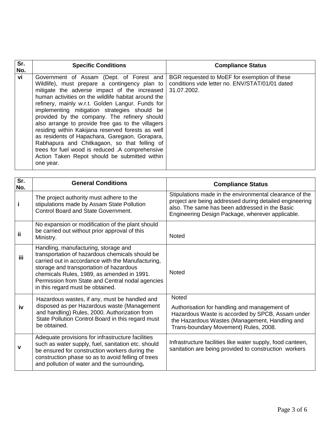| Sr.<br>No. | <b>Specific Conditions</b>                                                                                                                                                                                                                                                                                                                                                                                                                                                                                                                                                                                                                                                        | <b>Compliance Status</b>                                                                                       |
|------------|-----------------------------------------------------------------------------------------------------------------------------------------------------------------------------------------------------------------------------------------------------------------------------------------------------------------------------------------------------------------------------------------------------------------------------------------------------------------------------------------------------------------------------------------------------------------------------------------------------------------------------------------------------------------------------------|----------------------------------------------------------------------------------------------------------------|
| vi         | Government of Assam (Dept. of Forest and<br>Wildlife), must prepare a contingency plan to<br>mitigate the adverse impact of the increased<br>human activities on the wildlife habitat around the<br>refinery, mainly w.r.t. Golden Langur. Funds for<br>implementing mitigation strategies should be<br>provided by the company. The refinery should<br>also arrange to provide free gas to the villagers<br>residing within Kakijana reserved forests as well<br>as residents of Hapachara, Garegaon, Gorapara,<br>Rabhapura and Chitkagaon, so that felling of<br>trees for fuel wood is reduced .A comprehensive<br>Action Taken Repot should be submitted within<br>one year. | BGR requested to MoEF for exemption of these<br>conditions vide letter no. ENV/STAT/01/01 dated<br>31.07.2002. |

| Sr.<br>No. | <b>General Conditions</b>                                                                                                                                                                                                                                                                                                     | <b>Compliance Status</b>                                                                                                                                                                                                 |
|------------|-------------------------------------------------------------------------------------------------------------------------------------------------------------------------------------------------------------------------------------------------------------------------------------------------------------------------------|--------------------------------------------------------------------------------------------------------------------------------------------------------------------------------------------------------------------------|
| j.         | The project authority must adhere to the<br>stipulations made by Assam State Pollution<br><b>Control Board and State Government.</b>                                                                                                                                                                                          | Stipulations made in the environmental clearance of the<br>project are being addressed during detailed engineering<br>also. The same has been addressed in the Basic<br>Engineering Design Package, wherever applicable. |
| ii         | No expansion or modification of the plant should<br>be carried out without prior approval of this<br>Ministry.                                                                                                                                                                                                                | <b>Noted</b>                                                                                                                                                                                                             |
| iii.       | Handling, manufacturing, storage and<br>transportation of hazardous chemicals should be<br>carried out in accordance with the Manufacturing,<br>storage and transportation of hazardous<br>chemicals Rules, 1989, as amended in 1991.<br>Permission from State and Central nodal agencies<br>in this regard must be obtained. | <b>Noted</b>                                                                                                                                                                                                             |
| iv         | Hazardous wastes, if any, must be handled and<br>disposed as per Hazardous waste (Management<br>and handling) Rules, 2000. Authorization from<br>State Pollution Control Board in this regard must<br>be obtained.                                                                                                            | <b>Noted</b><br>Authorisation for handling and management of<br>Hazardous Waste is accorded by SPCB, Assam under<br>the Hazardous Wastes (Management, Handling and<br>Trans-boundary Movement) Rules, 2008.              |
| ۷          | Adequate provisions for infrastructure facilities<br>such as water supply, fuel, sanitation etc. should<br>be ensured for construction workers during the<br>construction phase so as to avoid felling of trees<br>and pollution of water and the surrounding.                                                                | Infrastructure facilities like water supply, food canteen,<br>sanitation are being provided to construction workers                                                                                                      |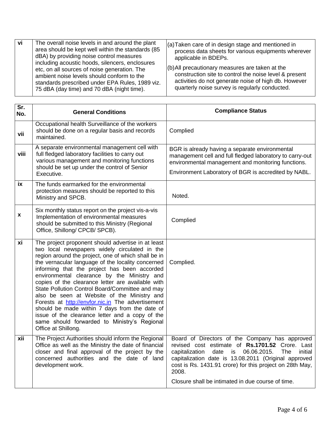| $(6)$ All precautionary measures are taken at the<br>etc, on all sources of noise generation. The<br>construction site to control the noise level & present<br>ambient noise levels should conform to the<br>activities do not generate noise of high db. However<br>standards prescribed under EPA Rules, 1989 viz.<br>quarterly noise survey is regularly conducted.<br>75 dBA (day time) and 70 dBA (night time). | -vi | The overall noise levels in and around the plant<br>area should be kept well within the standards (85<br>dBA) by providing noise control measures<br>including acoustic hoods, silencers, enclosures | $(a)$ Taken care of in design stage and mentioned in<br>process data sheets for various equipments wherever<br>applicable in BDEPs. |
|----------------------------------------------------------------------------------------------------------------------------------------------------------------------------------------------------------------------------------------------------------------------------------------------------------------------------------------------------------------------------------------------------------------------|-----|------------------------------------------------------------------------------------------------------------------------------------------------------------------------------------------------------|-------------------------------------------------------------------------------------------------------------------------------------|
|----------------------------------------------------------------------------------------------------------------------------------------------------------------------------------------------------------------------------------------------------------------------------------------------------------------------------------------------------------------------------------------------------------------------|-----|------------------------------------------------------------------------------------------------------------------------------------------------------------------------------------------------------|-------------------------------------------------------------------------------------------------------------------------------------|

| $\overline{\text{Sr.}}$<br>No. | <b>General Conditions</b>                                                                                                                                                                                                                                                                                                                                                                                                                                                                                                                                                                                                                                                                             | <b>Compliance Status</b>                                                                                                                                                                                                                                                                                                                             |
|--------------------------------|-------------------------------------------------------------------------------------------------------------------------------------------------------------------------------------------------------------------------------------------------------------------------------------------------------------------------------------------------------------------------------------------------------------------------------------------------------------------------------------------------------------------------------------------------------------------------------------------------------------------------------------------------------------------------------------------------------|------------------------------------------------------------------------------------------------------------------------------------------------------------------------------------------------------------------------------------------------------------------------------------------------------------------------------------------------------|
| vii                            | Occupational health Surveillance of the workers<br>should be done on a regular basis and records<br>maintained.                                                                                                                                                                                                                                                                                                                                                                                                                                                                                                                                                                                       | Complied                                                                                                                                                                                                                                                                                                                                             |
| viii                           | A separate environmental management cell with<br>full fledged laboratory facilities to carry out<br>various management and monitoring functions<br>should be set up under the control of Senior<br>Executive.                                                                                                                                                                                                                                                                                                                                                                                                                                                                                         | BGR is already having a separate environmental<br>management cell and full fledged laboratory to carry-out<br>environmental management and monitoring functions.<br>Environment Laboratory of BGR is accredited by NABL.                                                                                                                             |
| iх                             | The funds earmarked for the environmental<br>protection measures should be reported to this<br>Ministry and SPCB.                                                                                                                                                                                                                                                                                                                                                                                                                                                                                                                                                                                     | Noted.                                                                                                                                                                                                                                                                                                                                               |
| X                              | Six monthly status report on the project vis-a-vis<br>Implementation of environmental measures<br>should be submitted to this Ministry (Regional<br>Office, Shillong/ CPCB/ SPCB).                                                                                                                                                                                                                                                                                                                                                                                                                                                                                                                    | Complied                                                                                                                                                                                                                                                                                                                                             |
| xi                             | The project proponent should advertise in at least<br>two local newspapers widely circulated in the<br>region around the project, one of which shall be in<br>the vernacular language of the locality concerned<br>informing that the project has been accorded<br>environmental clearance by the Ministry and<br>copies of the clearance letter are available with<br>State Pollution Control Board/Committee and may<br>also be seen at Website of the Ministry and<br>Forests at http://envfor.nic.in The advertisement<br>should be made within 7 days from the date of<br>issue of the clearance letter and a copy of the<br>same should forwarded to Ministry's Regional<br>Office at Shillong. | Complied.                                                                                                                                                                                                                                                                                                                                            |
| xii                            | The Project Authorities should inform the Regional<br>Office as well as the Ministry the date of financial<br>closer and final approval of the project by the<br>concerned authorities and the date of land<br>development work.                                                                                                                                                                                                                                                                                                                                                                                                                                                                      | Board of Directors of the Company has approved<br>revised cost estimate of Rs.1701.52 Crore. Last<br>capitalization<br>date<br>06.06.2015.<br>initial<br>is<br>The<br>capitalization date is 13.08.2011 (Original approved<br>cost is Rs. 1431.91 crore) for this project on 28th May,<br>2008.<br>Closure shall be intimated in due course of time. |
|                                |                                                                                                                                                                                                                                                                                                                                                                                                                                                                                                                                                                                                                                                                                                       |                                                                                                                                                                                                                                                                                                                                                      |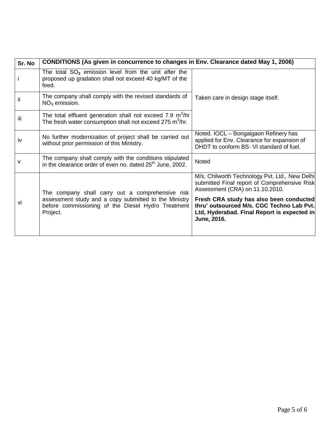| Sr. No | CONDITIONS (As given in concurrence to changes in Env. Clearance dated May 1, 2006)                                                 |                                                                                                                                                    |
|--------|-------------------------------------------------------------------------------------------------------------------------------------|----------------------------------------------------------------------------------------------------------------------------------------------------|
|        | The total $SO_2$ emission level from the unit after the<br>proposed up gradation shall not exceed 40 kg/MT of the<br>feed.          |                                                                                                                                                    |
| ij.    | The company shall comply with the revised standards of<br>$NOx$ emission.                                                           | Taken care in design stage itself.                                                                                                                 |
| iii    | The total effluent generation shall not exceed 7.9 $m^3/hr$<br>The fresh water consumption shall not exceed 275 m <sup>3</sup> /hr. |                                                                                                                                                    |
| iv     | No further modernization of project shall be carried out<br>without prior permission of this Ministry.                              | Noted. IOCL - Bongaigaon Refinery has<br>applied for Env. Clearance for expansion of<br>DHDT to conform BS- VI standard of fuel.                   |
| v      | The company shall comply with the conditions stipulated<br>in the clearance order of even no. dated 25 <sup>th</sup> June, 2002.    | Noted                                                                                                                                              |
| VÌ     | The company shall carry out a comprehensive risk                                                                                    | M/s. Chilworth Technology Pvt. Ltd., New Delhi<br>submitted Final report of Comprehensive Risk<br>Assessment (CRA) on 11.10.2010.                  |
|        | assessment study and a copy submitted to the Ministry<br>before commissioning of the Diesel Hydro Treatment<br>Project.             | Fresh CRA study has also been conducted<br>thru' outsourced M/s. CGC Techno Lab Pvt.<br>Ltd, Hyderabad. Final Report is expected in<br>June, 2016. |